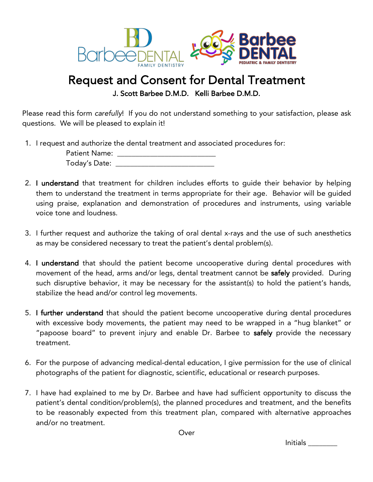

## Request and Consent for Dental Treatment<br>J. Scott Barbee D.M.D. Kelli Barbee D.M.D.

Please read this form *carefully*! If you do not understand something to your satisfaction, please ask questions. We will be pleased to explain it!

1. I request and authorize the dental treatment and associated procedures for:

| <b>Patient Name:</b> |  |
|----------------------|--|
| Today's Date:        |  |

- 2. I understand that treatment for children includes efforts to guide their behavior by helping them to understand the treatment in terms appropriate for their age. Behavior will be guided using praise, explanation and demonstration of procedures and instruments, using variable voice tone and loudness.
- 3. I further request and authorize the taking of oral dental x-rays and the use of such anesthetics as may be considered necessary to treat the patient's dental problem(s).
- 4. I understand that should the patient become uncooperative during dental procedures with movement of the head, arms and/or legs, dental treatment cannot be safely provided. During such disruptive behavior, it may be necessary for the assistant(s) to hold the patient's hands, stabilize the head and/or control leg movements.
- 5. I further understand that should the patient become uncooperative during dental procedures with excessive body movements, the patient may need to be wrapped in a "hug blanket" or "papoose board" to prevent injury and enable Dr. Barbee to safely provide the necessary treatment.
- 6. For the purpose of advancing medical-dental education, I give permission for the use of clinical photographs of the patient for diagnostic, scientific, educational or research purposes.
- 7. I have had explained to me by Dr. Barbee and have had sufficient opportunity to discuss the patient's dental condition/problem(s), the planned procedures and treatment, and the benefits to be reasonably expected from this treatment plan, compared with alternative approaches and/or no treatment.

Over

Initials \_\_\_\_\_\_\_\_